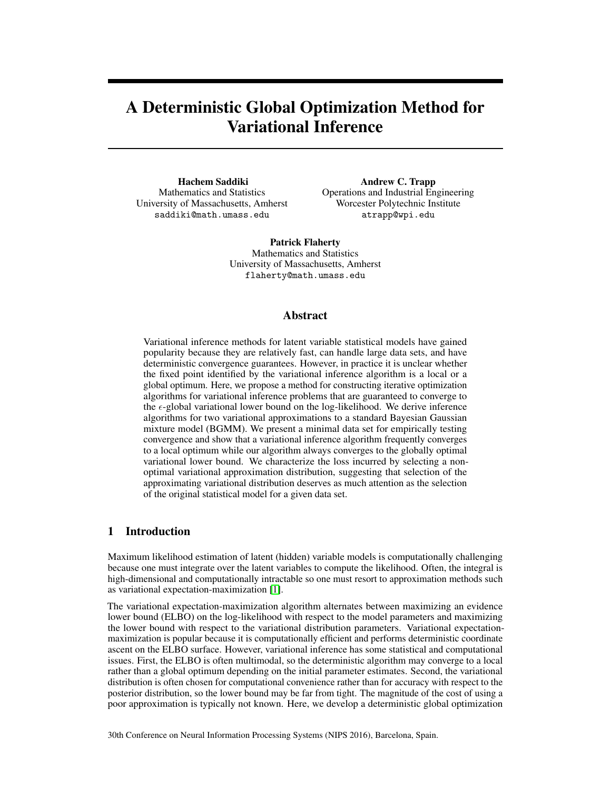# A Deterministic Global Optimization Method for Variational Inference

Hachem Saddiki Mathematics and Statistics University of Massachusetts, Amherst saddiki@math.umass.edu

Andrew C. Trapp Operations and Industrial Engineering Worcester Polytechnic Institute atrapp@wpi.edu

Patrick Flaherty Mathematics and Statistics University of Massachusetts, Amherst flaherty@math.umass.edu

## Abstract

Variational inference methods for latent variable statistical models have gained popularity because they are relatively fast, can handle large data sets, and have deterministic convergence guarantees. However, in practice it is unclear whether the fixed point identified by the variational inference algorithm is a local or a global optimum. Here, we propose a method for constructing iterative optimization algorithms for variational inference problems that are guaranteed to converge to the  $\epsilon$ -global variational lower bound on the log-likelihood. We derive inference algorithms for two variational approximations to a standard Bayesian Gaussian mixture model (BGMM). We present a minimal data set for empirically testing convergence and show that a variational inference algorithm frequently converges to a local optimum while our algorithm always converges to the globally optimal variational lower bound. We characterize the loss incurred by selecting a nonoptimal variational approximation distribution, suggesting that selection of the approximating variational distribution deserves as much attention as the selection of the original statistical model for a given data set.

# 1 Introduction

Maximum likelihood estimation of latent (hidden) variable models is computationally challenging because one must integrate over the latent variables to compute the likelihood. Often, the integral is high-dimensional and computationally intractable so one must resort to approximation methods such as variational expectation-maximization [\[1\]](#page-3-0).

The variational expectation-maximization algorithm alternates between maximizing an evidence lower bound (ELBO) on the log-likelihood with respect to the model parameters and maximizing the lower bound with respect to the variational distribution parameters. Variational expectationmaximization is popular because it is computationally efficient and performs deterministic coordinate ascent on the ELBO surface. However, variational inference has some statistical and computational issues. First, the ELBO is often multimodal, so the deterministic algorithm may converge to a local rather than a global optimum depending on the initial parameter estimates. Second, the variational distribution is often chosen for computational convenience rather than for accuracy with respect to the posterior distribution, so the lower bound may be far from tight. The magnitude of the cost of using a poor approximation is typically not known. Here, we develop a deterministic global optimization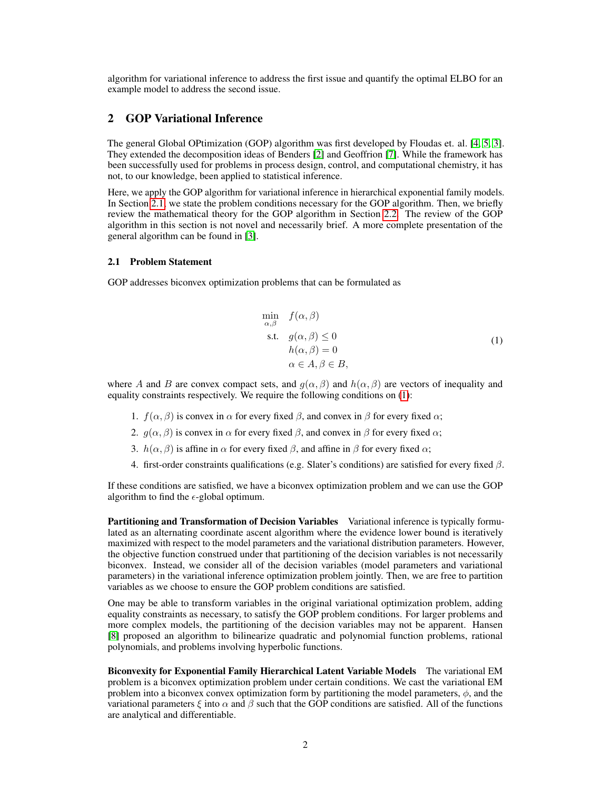algorithm for variational inference to address the first issue and quantify the optimal ELBO for an example model to address the second issue.

## 2 GOP Variational Inference

The general Global OPtimization (GOP) algorithm was first developed by Floudas et. al. [\[4,](#page-3-1) [5,](#page-4-0) [3\]](#page-3-2). They extended the decomposition ideas of Benders [\[2\]](#page-3-3) and Geoffrion [\[7\]](#page-4-1). While the framework has been successfully used for problems in process design, control, and computational chemistry, it has not, to our knowledge, been applied to statistical inference.

Here, we apply the GOP algorithm for variational inference in hierarchical exponential family models. In Section [2.1,](#page-1-0) we state the problem conditions necessary for the GOP algorithm. Then, we briefly review the mathematical theory for the GOP algorithm in Section [2.2.](#page-2-0) The review of the GOP algorithm in this section is not novel and necessarily brief. A more complete presentation of the general algorithm can be found in [\[3\]](#page-3-2).

#### <span id="page-1-0"></span>2.1 Problem Statement

<span id="page-1-1"></span>GOP addresses biconvex optimization problems that can be formulated as

$$
\min_{\alpha,\beta} f(\alpha,\beta)
$$
\n
$$
\text{s.t. } g(\alpha,\beta) \le 0
$$
\n
$$
h(\alpha,\beta) = 0
$$
\n
$$
\alpha \in A, \beta \in B,
$$
\n
$$
(1)
$$

where A and B are convex compact sets, and  $g(\alpha, \beta)$  and  $h(\alpha, \beta)$  are vectors of inequality and equality constraints respectively. We require the following conditions on [\(1\)](#page-1-1):

- 1.  $f(\alpha, \beta)$  is convex in  $\alpha$  for every fixed  $\beta$ , and convex in  $\beta$  for every fixed  $\alpha$ ;
- 2.  $q(\alpha, \beta)$  is convex in  $\alpha$  for every fixed  $\beta$ , and convex in  $\beta$  for every fixed  $\alpha$ ;
- 3.  $h(\alpha, \beta)$  is affine in  $\alpha$  for every fixed  $\beta$ , and affine in  $\beta$  for every fixed  $\alpha$ ;
- 4. first-order constraints qualifications (e.g. Slater's conditions) are satisfied for every fixed  $β$ .

If these conditions are satisfied, we have a biconvex optimization problem and we can use the GOP algorithm to find the  $\epsilon$ -global optimum.

Partitioning and Transformation of Decision Variables Variational inference is typically formulated as an alternating coordinate ascent algorithm where the evidence lower bound is iteratively maximized with respect to the model parameters and the variational distribution parameters. However, the objective function construed under that partitioning of the decision variables is not necessarily biconvex. Instead, we consider all of the decision variables (model parameters and variational parameters) in the variational inference optimization problem jointly. Then, we are free to partition variables as we choose to ensure the GOP problem conditions are satisfied.

One may be able to transform variables in the original variational optimization problem, adding equality constraints as necessary, to satisfy the GOP problem conditions. For larger problems and more complex models, the partitioning of the decision variables may not be apparent. Hansen [\[8\]](#page-4-2) proposed an algorithm to bilinearize quadratic and polynomial function problems, rational polynomials, and problems involving hyperbolic functions.

Biconvexity for Exponential Family Hierarchical Latent Variable Models The variational EM problem is a biconvex optimization problem under certain conditions. We cast the variational EM problem into a biconvex convex optimization form by partitioning the model parameters,  $\phi$ , and the variational parameters  $\xi$  into  $\alpha$  and  $\beta$  such that the GOP conditions are satisfied. All of the functions are analytical and differentiable.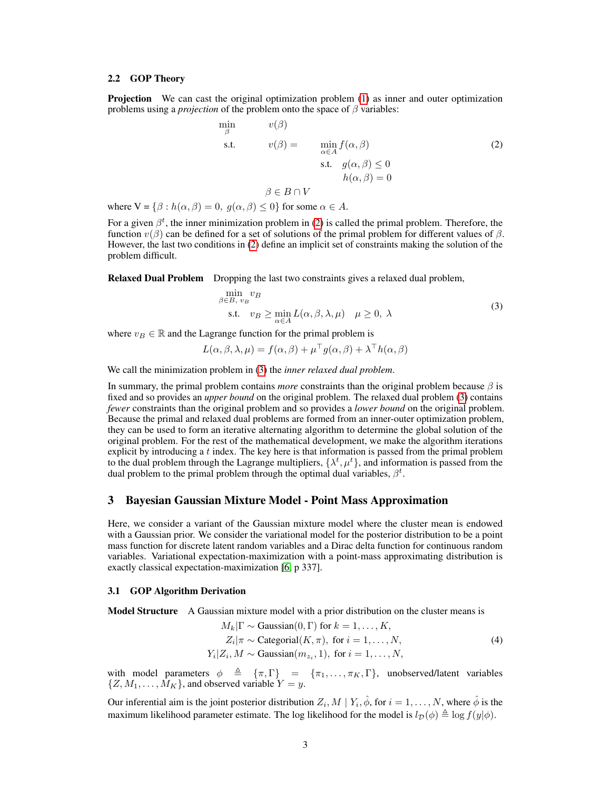#### <span id="page-2-0"></span>2.2 GOP Theory

Projection We can cast the original optimization problem [\(1\)](#page-1-1) as inner and outer optimization problems using a *projection* of the problem onto the space of  $\beta$  variables:

<span id="page-2-1"></span>
$$
\min_{\beta} \qquad v(\beta) \n\text{s.t.} \qquad v(\beta) = \qquad \min_{\alpha \in A} f(\alpha, \beta) \n\text{s.t.} \quad g(\alpha, \beta) \le 0 \n\qquad h(\alpha, \beta) = 0
$$
\n
$$
\beta \in B \cap V
$$
\n(2)

where  $V = \{\beta : h(\alpha, \beta) = 0, g(\alpha, \beta) \le 0\}$  for some  $\alpha \in A$ .

For a given  $\beta^t$ , the inner minimization problem in [\(2\)](#page-2-1) is called the primal problem. Therefore, the function v(β) can be defined for a set of solutions of the primal problem for different values of β. However, the last two conditions in [\(2\)](#page-2-1) define an implicit set of constraints making the solution of the problem difficult.

Relaxed Dual Problem Dropping the last two constraints gives a relaxed dual problem,

<span id="page-2-2"></span>
$$
\min_{\beta \in B, v_B} v_B
$$
\n
$$
\text{s.t.} \quad v_B \ge \min_{\alpha \in A} L(\alpha, \beta, \lambda, \mu) \quad \mu \ge 0, \ \lambda
$$
\n
$$
(3)
$$

where  $v_B \in \mathbb{R}$  and the Lagrange function for the primal problem is

$$
L(\alpha, \beta, \lambda, \mu) = f(\alpha, \beta) + \mu^{\top} g(\alpha, \beta) + \lambda^{\top} h(\alpha, \beta)
$$

We call the minimization problem in [\(3\)](#page-2-2) the *inner relaxed dual problem*.

In summary, the primal problem contains *more* constraints than the original problem because  $\beta$  is fixed and so provides an *upper bound* on the original problem. The relaxed dual problem [\(3\)](#page-2-2) contains *fewer* constraints than the original problem and so provides a *lower bound* on the original problem. Because the primal and relaxed dual problems are formed from an inner-outer optimization problem, they can be used to form an iterative alternating algorithm to determine the global solution of the original problem. For the rest of the mathematical development, we make the algorithm iterations explicit by introducing a t index. The key here is that information is passed from the primal problem to the dual problem through the Lagrange multipliers,  $\{\lambda^t, \mu^t\}$ , and information is passed from the dual problem to the primal problem through the optimal dual variables,  $\beta^t$ .

## 3 Bayesian Gaussian Mixture Model - Point Mass Approximation

Here, we consider a variant of the Gaussian mixture model where the cluster mean is endowed with a Gaussian prior. We consider the variational model for the posterior distribution to be a point mass function for discrete latent random variables and a Dirac delta function for continuous random variables. Variational expectation-maximization with a point-mass approximating distribution is exactly classical expectation-maximization [\[6,](#page-4-3) p 337].

#### 3.1 GOP Algorithm Derivation

Model Structure A Gaussian mixture model with a prior distribution on the cluster means is

$$
M_k|\Gamma \sim \text{Gaussian}(0, \Gamma) \text{ for } k = 1, ..., K,
$$
  
\n
$$
Z_i|\pi \sim \text{Categorical}(K, \pi), \text{ for } i = 1, ..., N,
$$
  
\n
$$
Y_i|Z_i, M \sim \text{Gaussian}(m_{z_i}, 1), \text{ for } i = 1, ..., N,
$$
 (4)

with model parameters  $\phi \triangleq {\pi, \Gamma} = {\pi_1, \dots, \pi_K, \Gamma}$ , unobserved/latent variables  $\{Z, M_1, \ldots, M_K\}$ , and observed variable  $Y = y$ .

Our inferential aim is the joint posterior distribution  $Z_i, M \mid Y_i, \hat{\phi}$ , for  $i = 1, \ldots, N$ , where  $\hat{\phi}$  is the maximum likelihood parameter estimate. The log likelihood for the model is  $l_p(\phi) \triangleq \log f(y|\phi)$ .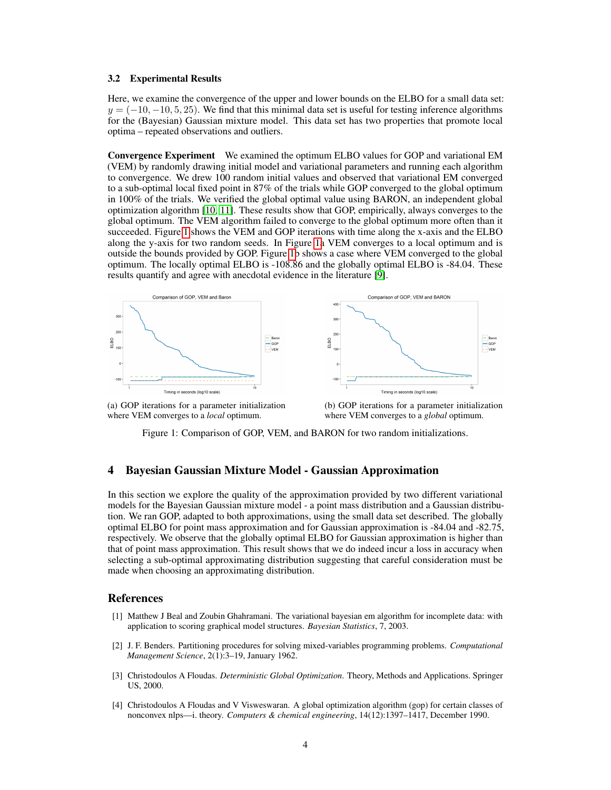#### 3.2 Experimental Results

Here, we examine the convergence of the upper and lower bounds on the ELBO for a small data set:  $y = (-10, -10, 5, 25)$ . We find that this minimal data set is useful for testing inference algorithms for the (Bayesian) Gaussian mixture model. This data set has two properties that promote local optima – repeated observations and outliers.

Convergence Experiment We examined the optimum ELBO values for GOP and variational EM (VEM) by randomly drawing initial model and variational parameters and running each algorithm to convergence. We drew 100 random initial values and observed that variational EM converged to a sub-optimal local fixed point in 87% of the trials while GOP converged to the global optimum in 100% of the trials. We verified the global optimal value using BARON, an independent global optimization algorithm [\[10,](#page-4-4) [11\]](#page-4-5). These results show that GOP, empirically, always converges to the global optimum. The VEM algorithm failed to converge to the global optimum more often than it succeeded. Figure [1](#page-3-4) shows the VEM and GOP iterations with time along the x-axis and the ELBO along the y-axis for two random seeds. In Figure [1a](#page-3-4) VEM converges to a local optimum and is outside the bounds provided by GOP. Figure [1b](#page-3-4) shows a case where VEM converged to the global optimum. The locally optimal ELBO is -108.86 and the globally optimal ELBO is -84.04. These results quantify and agree with anecdotal evidence in the literature [\[9\]](#page-4-6).

<span id="page-3-4"></span>

(a) GOP iterations for a parameter initialization where VEM converges to a *local* optimum.

(b) GOP iterations for a parameter initialization where VEM converges to a *global* optimum.

Figure 1: Comparison of GOP, VEM, and BARON for two random initializations.

## 4 Bayesian Gaussian Mixture Model - Gaussian Approximation

In this section we explore the quality of the approximation provided by two different variational models for the Bayesian Gaussian mixture model - a point mass distribution and a Gaussian distribution. We ran GOP, adapted to both approximations, using the small data set described. The globally optimal ELBO for point mass approximation and for Gaussian approximation is -84.04 and -82.75, respectively. We observe that the globally optimal ELBO for Gaussian approximation is higher than that of point mass approximation. This result shows that we do indeed incur a loss in accuracy when selecting a sub-optimal approximating distribution suggesting that careful consideration must be made when choosing an approximating distribution.

#### References

- <span id="page-3-0"></span>[1] Matthew J Beal and Zoubin Ghahramani. The variational bayesian em algorithm for incomplete data: with application to scoring graphical model structures. *Bayesian Statistics*, 7, 2003.
- <span id="page-3-3"></span>[2] J. F. Benders. Partitioning procedures for solving mixed-variables programming problems. *Computational Management Science*, 2(1):3–19, January 1962.
- <span id="page-3-2"></span>[3] Christodoulos A Floudas. *Deterministic Global Optimization*. Theory, Methods and Applications. Springer US, 2000.
- <span id="page-3-1"></span>[4] Christodoulos A Floudas and V Visweswaran. A global optimization algorithm (gop) for certain classes of nonconvex nlps—i. theory. *Computers & chemical engineering*, 14(12):1397–1417, December 1990.